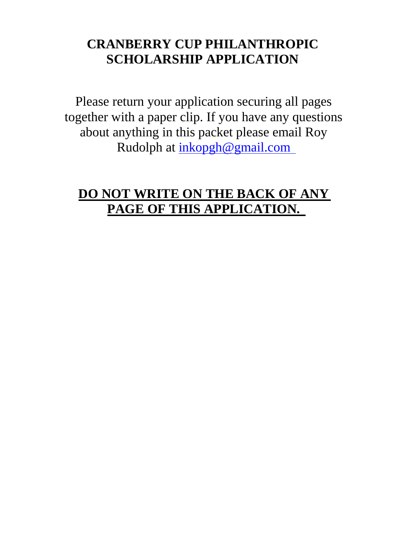# **CRANBERRY CUP PHILANTHROPIC SCHOLARSHIP APPLICATION**

Please return your application securing all pages together with a paper clip. If you have any questions about anything in this packet please email Roy Rudolph at [inkopgh@gmail.co](mailto:inkopgh@gmail.c)m

# **DO NOT WRITE ON THE BACK OF ANY PAGE OF THIS APPLICATION.**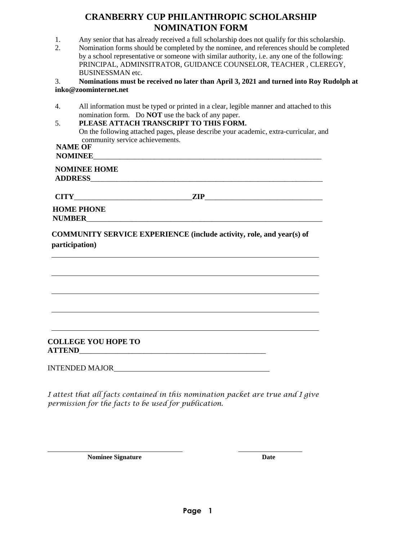#### **CRANBERRY CUP PHILANTHROPIC SCHOLARSHIP NOMINATION FORM**

|                | TURITHE WARDEN T                                                                                                                                                                          |
|----------------|-------------------------------------------------------------------------------------------------------------------------------------------------------------------------------------------|
| 1.<br>2.       | Any senior that has already received a full scholarship does not qualify for this scholarship.<br>Nomination forms should be completed by the nominee, and references should be completed |
|                | by a school representative or someone with similar authority, i.e. any one of the following:                                                                                              |
|                | PRINCIPAL, ADMINSITRATOR, GUIDANCE COUNSELOR, TEACHER, CLEREGY,                                                                                                                           |
| 3.             | <b>BUSINESSMAN</b> etc.<br>Nominations must be received no later than April 3, 2021 and turned into Roy Rudolph at                                                                        |
|                | inko@zoominternet.net                                                                                                                                                                     |
|                |                                                                                                                                                                                           |
| 4.             | All information must be typed or printed in a clear, legible manner and attached to this                                                                                                  |
| 5.             | nomination form. Do <b>NOT</b> use the back of any paper.<br>PLEASE ATTACH TRANSCRIPT TO THIS FORM.                                                                                       |
|                | On the following attached pages, please describe your academic, extra-curricular, and                                                                                                     |
|                | community service achievements.                                                                                                                                                           |
| <b>NAME OF</b> |                                                                                                                                                                                           |
|                |                                                                                                                                                                                           |
|                | <b>NOMINEE HOME</b>                                                                                                                                                                       |
|                |                                                                                                                                                                                           |
|                | $CITY$ $ZIP$                                                                                                                                                                              |
|                | <b>HOME PHONE</b>                                                                                                                                                                         |
|                |                                                                                                                                                                                           |
|                |                                                                                                                                                                                           |
|                | <b>COMMUNITY SERVICE EXPERIENCE (include activity, role, and year(s) of</b>                                                                                                               |
| participation) |                                                                                                                                                                                           |
|                |                                                                                                                                                                                           |
|                |                                                                                                                                                                                           |
|                |                                                                                                                                                                                           |
|                |                                                                                                                                                                                           |
|                |                                                                                                                                                                                           |
|                |                                                                                                                                                                                           |
|                |                                                                                                                                                                                           |
|                |                                                                                                                                                                                           |
|                | <b>COLLEGE YOU HOPE TO</b>                                                                                                                                                                |
|                |                                                                                                                                                                                           |
|                |                                                                                                                                                                                           |
|                |                                                                                                                                                                                           |

*I attest that all facts contained in this nomination packet are true and I give permission for the facts to be used for publication.*

**Nominee Signature Date**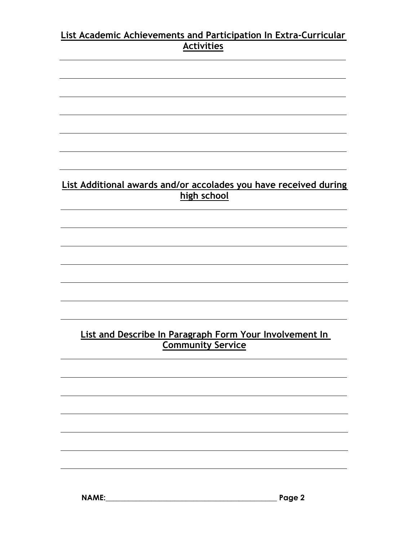## **List Academic Achievements and Participation In Extra-Curricular Activities**

### **List Additional awards and/or accolades you have received during high school**  $\overline{a}$

## **List and Describe In Paragraph Form Your Involvement In Community Service**

 $\overline{a}$ 

 $\overline{a}$ 

 $\overline{a}$ 

 $\overline{a}$ 

l

l

 $\overline{a}$ 

 $\overline{a}$ 

 $\overline{a}$ 

 $\overline{a}$ 

l

 $\overline{a}$ 

l

 $\overline{a}$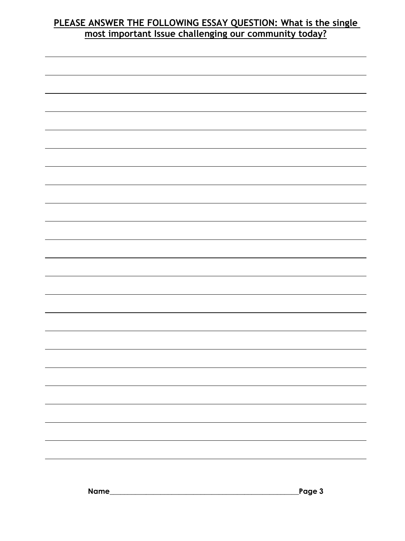### **PLEASE ANSWER THE FOLLOWING ESSAY QUESTION: What is the single most important Issue challenging our community today?**

| ÷, |
|----|
|    |
| ÷, |
|    |
|    |
|    |
|    |
|    |
|    |
| ÷, |
|    |
|    |
|    |
|    |
|    |